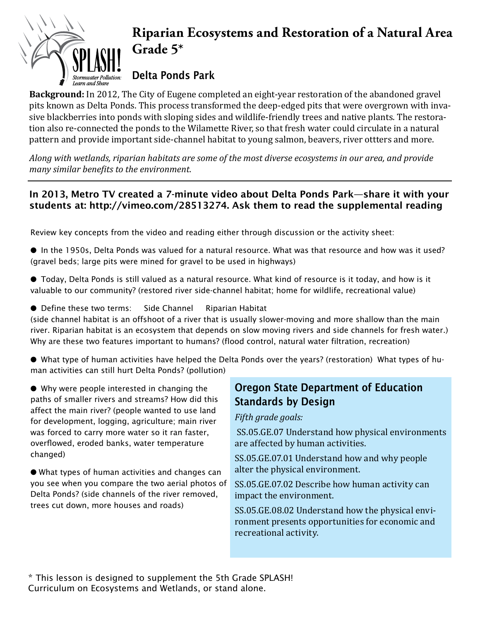# **Riparian Ecosystems and Restoration of a Natural Area Grade 5\*** Delta Ponds Park Learn and Sbare

**Background:** In 2012, The City of Eugene completed an eight-year restoration of the abandoned gravel pits known as Delta Ponds. This process transformed the deep-edged pits that were overgrown with invasive blackberries into ponds with sloping sides and wildlife-friendly trees and native plants. The restoration also re-connected the ponds to the Wilamette River, so that fresh water could circulate in a natural pattern and provide important side-channel habitat to young salmon, beavers, river ottters and more.

*Along with wetlands, riparian habitats are some of the most diverse ecosystems in our area, and provide many similar benefits to the environment.* 

#### In 2013, Metro TV created a 7-minute video about Delta Ponds Park—share it with your students at: http://vimeo.com/28513274. Ask them to read the supplemental reading

Review key concepts from the video and reading either through discussion or the activity sheet:

- In the 1950s, Delta Ponds was valued for a natural resource. What was that resource and how was it used? (gravel beds; large pits were mined for gravel to be used in highways)
- Today, Delta Ponds is still valued as a natural resource. What kind of resource is it today, and how is it valuable to our community? (restored river side-channel habitat; home for wildlife, recreational value)
- Define these two terms: Side Channel Riparian Habitat

(side channel habitat is an offshoot of a river that is usually slower-moving and more shallow than the main river. Riparian habitat is an ecosystem that depends on slow moving rivers and side channels for fresh water.) Why are these two features important to humans? (flood control, natural water filtration, recreation)

● What type of human activities have helped the Delta Ponds over the years? (restoration) What types of human activities can still hurt Delta Ponds? (pollution)

● Why were people interested in changing the paths of smaller rivers and streams? How did this affect the main river? (people wanted to use land for development, logging, agriculture; main river was forced to carry more water so it ran faster, overflowed, eroded banks, water temperature changed)

● What types of human activities and changes can you see when you compare the two aerial photos of Delta Ponds? (side channels of the river removed, trees cut down, more houses and roads)

## Oregon State Department of Education Standards by Design

*Fifth grade goals:*

 SS.05.GE.07 Understand how physical environments are affected by human activities.

SS.05.GE.07.01 Understand how and why people alter the physical environment.

SS.05.GE.07.02 Describe how human activity can impact the environment.

SS.05.GE.08.02 Understand how the physical environment presents opportunities for economic and recreational activity.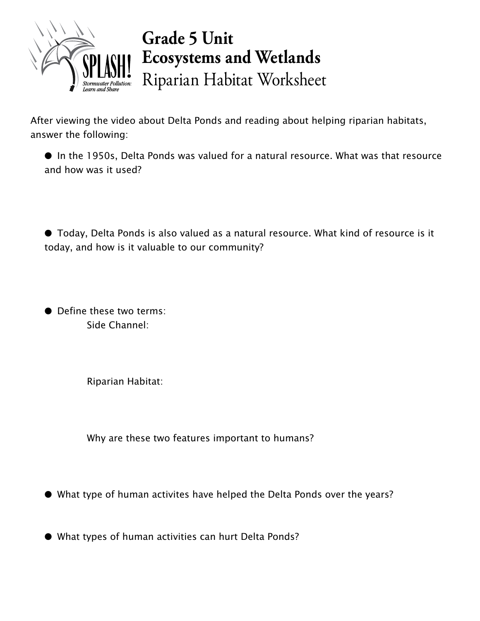

# **Grade 5 Unit Ecosystems and Wetlands** Riparian Habitat Worksheet

After viewing the video about Delta Ponds and reading about helping riparian habitats, answer the following:

● In the 1950s, Delta Ponds was valued for a natural resource. What was that resource and how was it used?

● Today, Delta Ponds is also valued as a natural resource. What kind of resource is it today, and how is it valuable to our community?

● Define these two terms: Side Channel:

Riparian Habitat:

Why are these two features important to humans?

● What type of human activites have helped the Delta Ponds over the years?

● What types of human activities can hurt Delta Ponds?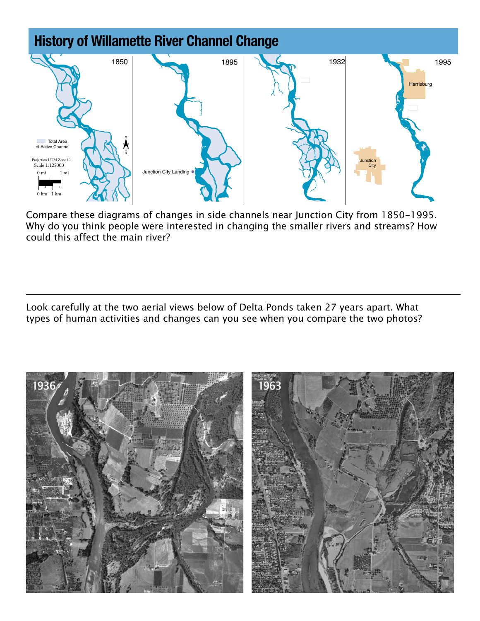

Compare these diagrams of changes in side channels near Junction City from 1850-1995. Why do you think people were interested in changing the smaller rivers and streams? How could this affect the main river?

Look carefully at the two aerial views below of Delta Ponds taken 27 years apart. What types of human activities and changes can you see when you compare the two photos?

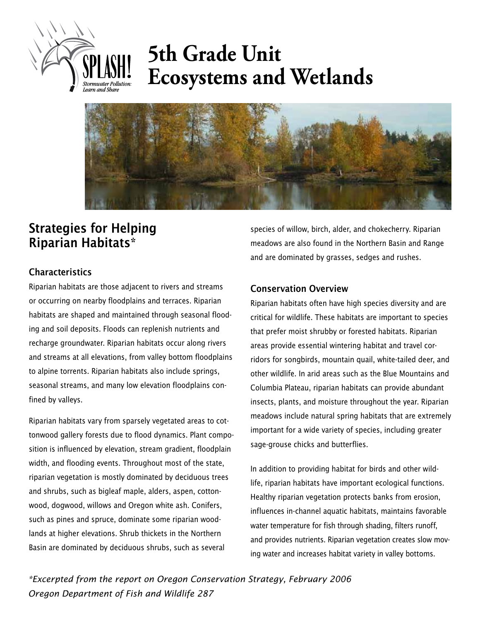

# **5th Grade Unit Ecosystems and Wetlands**



## Strategies for Helping Riparian Habitats\*

#### **Characteristics**

Riparian habitats are those adjacent to rivers and streams or occurring on nearby floodplains and terraces. Riparian habitats are shaped and maintained through seasonal flooding and soil deposits. Floods can replenish nutrients and recharge groundwater. Riparian habitats occur along rivers and streams at all elevations, from valley bottom floodplains to alpine torrents. Riparian habitats also include springs, seasonal streams, and many low elevation floodplains confined by valleys.

Riparian habitats vary from sparsely vegetated areas to cottonwood gallery forests due to flood dynamics. Plant composition is influenced by elevation, stream gradient, floodplain width, and flooding events. Throughout most of the state, riparian vegetation is mostly dominated by deciduous trees and shrubs, such as bigleaf maple, alders, aspen, cottonwood, dogwood, willows and Oregon white ash. Conifers, such as pines and spruce, dominate some riparian woodlands at higher elevations. Shrub thickets in the Northern Basin are dominated by deciduous shrubs, such as several

species of willow, birch, alder, and chokecherry. Riparian meadows are also found in the Northern Basin and Range and are dominated by grasses, sedges and rushes.

#### Conservation Overview

Riparian habitats often have high species diversity and are critical for wildlife. These habitats are important to species that prefer moist shrubby or forested habitats. Riparian areas provide essential wintering habitat and travel corridors for songbirds, mountain quail, white-tailed deer, and other wildlife. In arid areas such as the Blue Mountains and Columbia Plateau, riparian habitats can provide abundant insects, plants, and moisture throughout the year. Riparian meadows include natural spring habitats that are extremely important for a wide variety of species, including greater sage-grouse chicks and butterflies.

In addition to providing habitat for birds and other wildlife, riparian habitats have important ecological functions. Healthy riparian vegetation protects banks from erosion, influences in-channel aquatic habitats, maintains favorable water temperature for fish through shading, filters runoff, and provides nutrients. Riparian vegetation creates slow moving water and increases habitat variety in valley bottoms.

*\*Excerpted from the report on Oregon Conservation Strategy, February 2006 Oregon Department of Fish and Wildlife 287*